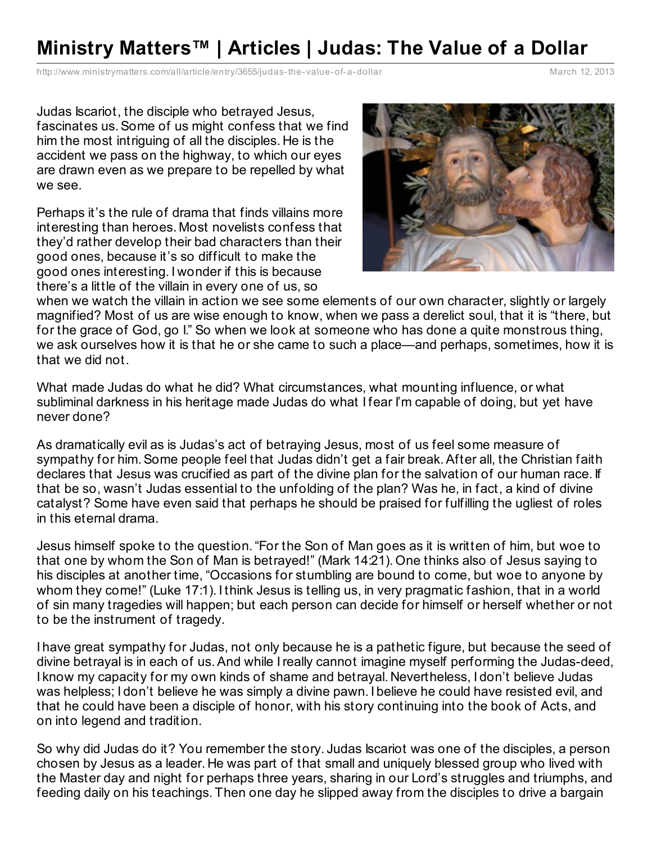## **Ministry Matters™ | Articles | Judas: The Value of a Dollar**

[http://www.ministrymatters.com/all/article/entry/3655/judas-the-](http://www.ministrymatters.com/all/article/entry/3655/judas-the-value-of-a-dollar)value-of-a-dollar March 12, 2013

Judas Iscariot, the disciple who betrayed Jesus, fascinates us.Some of us might confess that we find him the most intriguing of all the disciples. He is the accident we pass on the highway, to which our eyes are drawn even as we prepare to be repelled by what we see.

Perhaps it's the rule of drama that finds villains more interesting than heroes. Most novelists confess that they'd rather develop their bad characters than their good ones, because it's so difficult to make the good ones interesting. I wonder if this is because there's a little of the villain in every one of us, so



when we watch the villain in action we see some elements of our own character, slightly or largely magnified? Most of us are wise enough to know, when we pass a derelict soul, that it is "there, but for the grace of God, go I." So when we look at someone who has done a quite monstrous thing, we ask ourselves how it is that he or she came to such a place—and perhaps, sometimes, how it is that we did not.

What made Judas do what he did? What circumstances, what mounting influence, or what subliminal darkness in his heritage made Judas do what I fear I'm capable of doing, but yet have never done?

As dramatically evil as is Judas's act of betraying Jesus, most of us feel some measure of sympathy for him.Some people feel that Judas didn't get a fair break.After all, the Christian faith declares that Jesus was crucified as part of the divine plan for the salvation of our human race. If that be so, wasn't Judas essential to the unfolding of the plan? Was he, in fact, a kind of divine catalyst? Some have even said that perhaps he should be praised for fulfilling the ugliest of roles in this eternal drama.

Jesus himself spoke to the question."For the Son of Man goes as it is written of him, but woe to that one by whom the Son of Man is betrayed!" (Mark 14:21). One thinks also of Jesus saying to his disciples at another time, "Occasions for stumbling are bound to come, but woe to anyone by whom they come!" (Luke 17:1). I think Jesus is telling us, in very pragmatic fashion, that in a world of sin many tragedies will happen; but each person can decide for himself or herself whether or not to be the instrument of tragedy.

I have great sympathy for Judas, not only because he is a pathetic figure, but because the seed of divine betrayal is in each of us.And while Ireally cannot imagine myself performing the Judas-deed, I know my capacity for my own kinds of shame and betrayal. Nevertheless, I don't believe Judas was helpless; I don't believe he was simply a divine pawn. I believe he could have resisted evil, and that he could have been a disciple of honor, with his story continuing into the book of Acts, and on into legend and tradition.

So why did Judas do it? You remember the story. Judas Iscariot was one of the disciples, a person chosen by Jesus as a leader. He was part of that small and uniquely blessed group who lived with the Master day and night for perhaps three years, sharing in our Lord's struggles and triumphs, and feeding daily on his teachings. Then one day he slipped away from the disciples to drive a bargain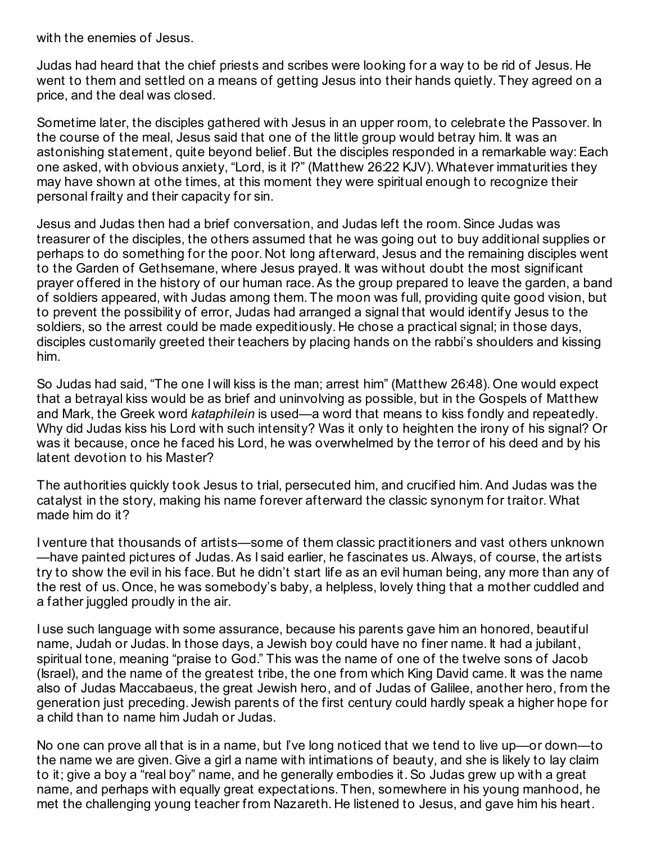with the enemies of Jesus.

Judas had heard that the chief priests and scribes were looking for a way to be rid of Jesus. He went to them and settled on a means of getting Jesus into their hands quietly. They agreed on a price, and the deal was closed.

Sometime later, the disciples gathered with Jesus in an upper room, to celebrate the Passover. In the course of the meal, Jesus said that one of the little group would betray him. It was an astonishing statement, quite beyond belief. But the disciples responded in a remarkable way: Each one asked, with obvious anxiety, "Lord, is it I?" (Matthew 26:22 KJV). Whatever immaturities they may have shown at othe times, at this moment they were spiritual enough to recognize their personal frailty and their capacity for sin.

Jesus and Judas then had a brief conversation, and Judas left the room.Since Judas was treasurer of the disciples, the others assumed that he was going out to buy additional supplies or perhaps to do something for the poor. Not long afterward, Jesus and the remaining disciples went to the Garden of Gethsemane, where Jesus prayed. It was without doubt the most significant prayer offered in the history of our human race.As the group prepared to leave the garden, a band of soldiers appeared, with Judas among them. The moon was full, providing quite good vision, but to prevent the possibility of error, Judas had arranged a signal that would identify Jesus to the soldiers, so the arrest could be made expeditiously. He chose a practical signal; in those days, disciples customarily greeted their teachers by placing hands on the rabbi's shoulders and kissing him.

So Judas had said, "The one I will kiss is the man; arrest him" (Matthew 26:48). One would expect that a betrayal kiss would be as brief and uninvolving as possible, but in the Gospels of Matthew and Mark, the Greek word *kataphilein* is used—a word that means to kiss fondly and repeatedly. Why did Judas kiss his Lord with such intensity? Was it only to heighten the irony of his signal? Or was it because, once he faced his Lord, he was overwhelmed by the terror of his deed and by his latent devotion to his Master?

The authorities quickly took Jesus to trial, persecuted him, and crucified him.And Judas was the catalyst in the story, making his name forever afterward the classic synonym for traitor. What made him do it?

I venture that thousands of artists—some of them classic practitioners and vast others unknown —have painted pictures of Judas.As I said earlier, he fascinates us.Always, of course, the artists try to show the evil in his face. But he didn't start life as an evil human being, any more than any of the rest of us. Once, he was somebody's baby, a helpless, lovely thing that a mother cuddled and a father juggled proudly in the air.

I use such language with some assurance, because his parents gave him an honored, beautiful name, Judah or Judas. In those days, a Jewish boy could have no finer name. It had a jubilant, spiritual tone, meaning "praise to God." This was the name of one of the twelve sons of Jacob (Israel), and the name of the greatest tribe, the one from which King David came. It was the name also of Judas Maccabaeus, the great Jewish hero, and of Judas of Galilee, another hero, from the generation just preceding. Jewish parents of the first century could hardly speak a higher hope for a child than to name him Judah or Judas.

No one can prove all that is in a name, but I've long noticed that we tend to live up—or down—to the name we are given. Give a girl a name with intimations of beauty, and she is likely to lay claim to it; give a boy a "real boy" name, and he generally embodies it.So Judas grew up with a great name, and perhaps with equally great expectations. Then, somewhere in his young manhood, he met the challenging young teacher from Nazareth. He listened to Jesus, and gave him his heart.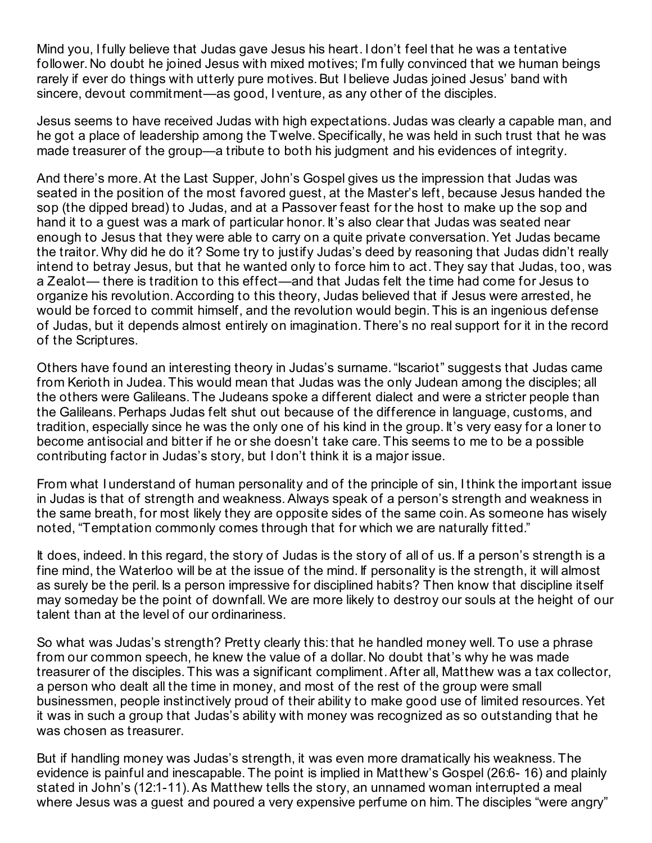Mind you, I fully believe that Judas gave Jesus his heart. I don't feel that he was a tentative follower. No doubt he joined Jesus with mixed motives; I'm fully convinced that we human beings rarely if ever do things with utterly pure motives. But I believe Judas joined Jesus' band with sincere, devout commitment—as good, I venture, as any other of the disciples.

Jesus seems to have received Judas with high expectations. Judas was clearly a capable man, and he got a place of leadership among the Twelve. Specifically, he was held in such trust that he was made treasurer of the group—a tribute to both his judgment and his evidences of integrity.

And there's more.At the Last Supper, John's Gospel gives us the impression that Judas was seated in the position of the most favored guest, at the Master's left, because Jesus handed the sop (the dipped bread) to Judas, and at a Passover feast for the host to make up the sop and hand it to a guest was a mark of particular honor. It's also clear that Judas was seated near enough to Jesus that they were able to carry on a quite private conversation.Yet Judas became the traitor. Why did he do it? Some try to justify Judas's deed by reasoning that Judas didn't really intend to betray Jesus, but that he wanted only to force him to act. They say that Judas, too, was a Zealot— there is tradition to this effect—and that Judas felt the time had come for Jesus to organize his revolution.According to this theory, Judas believed that if Jesus were arrested, he would be forced to commit himself, and the revolution would begin. This is an ingenious defense of Judas, but it depends almost entirely on imagination. There's no real support for it in the record of the Scriptures.

Others have found an interesting theory in Judas's surname."Iscariot" suggests that Judas came from Kerioth in Judea. This would mean that Judas was the only Judean among the disciples; all the others were Galileans. The Judeans spoke a different dialect and were a stricter people than the Galileans.Perhaps Judas felt shut out because of the difference in language, customs, and tradition, especially since he was the only one of his kind in the group. It's very easy for a loner to become antisocial and bitter if he or she doesn't take care. This seems to me to be a possible contributing factor in Judas's story, but I don't think it is a major issue.

From what I understand of human personality and of the principle of sin, I think the important issue in Judas is that of strength and weakness.Always speak of a person's strength and weakness in the same breath, for most likely they are opposite sides of the same coin.As someone has wisely noted, "Temptation commonly comes through that for which we are naturally fitted."

It does, indeed. In this regard, the story of Judas is the story of all of us. If a person's strength is a fine mind, the Waterloo will be at the issue of the mind. If personality is the strength, it will almost as surely be the peril. Is a person impressive for disciplined habits? Then know that discipline itself may someday be the point of downfall. We are more likely to destroy our souls at the height of our talent than at the level of our ordinariness.

So what was Judas's strength? Pretty clearly this: that he handled money well. To use a phrase from our common speech, he knew the value of a dollar. No doubt that's why he was made treasurer of the disciples. This was a significant compliment.After all, Matthew was a tax collector, a person who dealt all the time in money, and most of the rest of the group were small businessmen, people instinctively proud of their ability to make good use of limited resources.Yet it was in such a group that Judas's ability with money was recognized as so outstanding that he was chosen as treasurer.

But if handling money was Judas's strength, it was even more dramatically his weakness. The evidence is painful and inescapable. The point is implied in Matthew's Gospel (26:6- 16) and plainly stated in John's (12:1-11).As Matthew tells the story, an unnamed woman interrupted a meal where Jesus was a quest and poured a very expensive perfume on him. The disciples "were angry"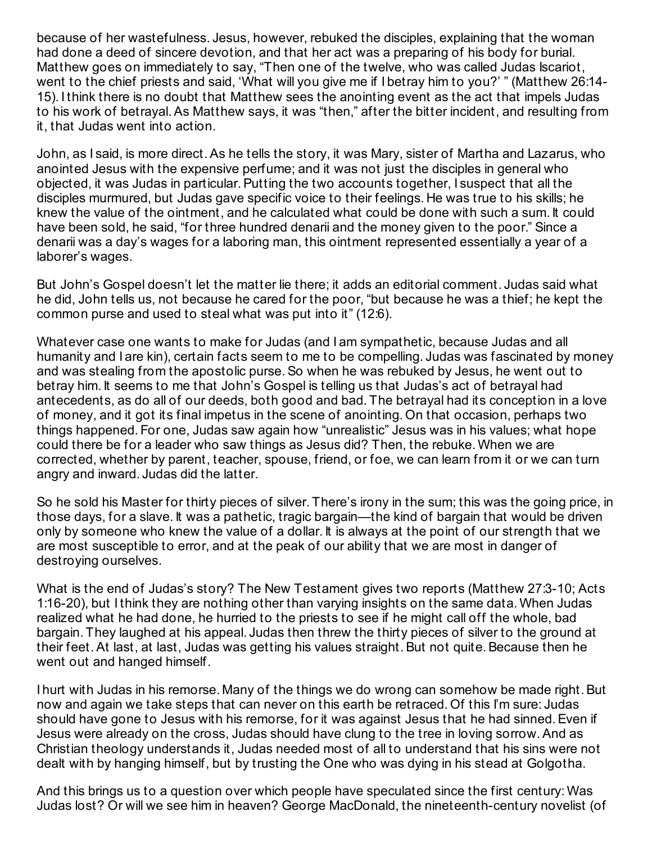because of her wastefulness. Jesus, however, rebuked the disciples, explaining that the woman had done a deed of sincere devotion, and that her act was a preparing of his body for burial. Matthew goes on immediately to say, "Then one of the twelve, who was called Judas Iscariot, went to the chief priests and said, 'What will you give me if I betray him to you?' " (Matthew 26:14- 15). I think there is no doubt that Matthew sees the anointing event as the act that impels Judas to his work of betrayal.As Matthew says, it was "then," after the bitter incident, and resulting from it, that Judas went into action.

John, as I said, is more direct.As he tells the story, it was Mary, sister of Martha and Lazarus, who anointed Jesus with the expensive perfume; and it was not just the disciples in general who objected, it was Judas in particular. Putting the two accounts together, I suspect that all the disciples murmured, but Judas gave specific voice to their feelings. He was true to his skills; he knew the value of the ointment, and he calculated what could be done with such a sum. It could have been sold, he said, "for three hundred denarii and the money given to the poor." Since a denarii was a day's wages for a laboring man, this ointment represented essentially a year of a laborer's wages.

But John's Gospel doesn't let the matter lie there; it adds an editorial comment. Judas said what he did, John tells us, not because he cared for the poor, "but because he was a thief; he kept the common purse and used to steal what was put into it" (12:6).

Whatever case one wants to make for Judas (and I am sympathetic, because Judas and all humanity and I are kin), certain facts seem to me to be compelling. Judas was fascinated by money and was stealing from the apostolic purse.So when he was rebuked by Jesus, he went out to betray him. It seems to me that John's Gospel is telling us that Judas's act of betrayal had antecedents, as do all of our deeds, both good and bad. The betrayal had its conception in a love of money, and it got its final impetus in the scene of anointing. On that occasion, perhaps two things happened. For one, Judas saw again how "unrealistic" Jesus was in his values; what hope could there be for a leader who saw things as Jesus did? Then, the rebuke. When we are corrected, whether by parent, teacher, spouse, friend, or foe, we can learn from it or we can turn angry and inward. Judas did the latter.

So he sold his Master for thirty pieces of silver. There's irony in the sum; this was the going price, in those days, for a slave. It was a pathetic, tragic bargain—the kind of bargain that would be driven only by someone who knew the value of a dollar. It is always at the point of our strength that we are most susceptible to error, and at the peak of our ability that we are most in danger of destroying ourselves.

What is the end of Judas's story? The New Testament gives two reports (Matthew 27:3-10; Acts 1:16-20), but I think they are nothing other than varying insights on the same data. When Judas realized what he had done, he hurried to the priests to see if he might call off the whole, bad bargain. They laughed at his appeal. Judas then threw the thirty pieces of silver to the ground at their feet. At last, at last, Judas was getting his values straight. But not quite. Because then he went out and hanged himself.

I hurt with Judas in his remorse. Many of the things we do wrong can somehow be made right. But now and again we take steps that can never on this earth be retraced. Of this I'm sure: Judas should have gone to Jesus with his remorse, for it was against Jesus that he had sinned. Even if Jesus were already on the cross, Judas should have clung to the tree in loving sorrow.And as Christian theology understands it, Judas needed most of all to understand that his sins were not dealt with by hanging himself, but by trusting the One who was dying in his stead at Golgotha.

And this brings us to a question over which people have speculated since the first century: Was Judas lost? Or will we see him in heaven? George MacDonald, the nineteenth-century novelist (of